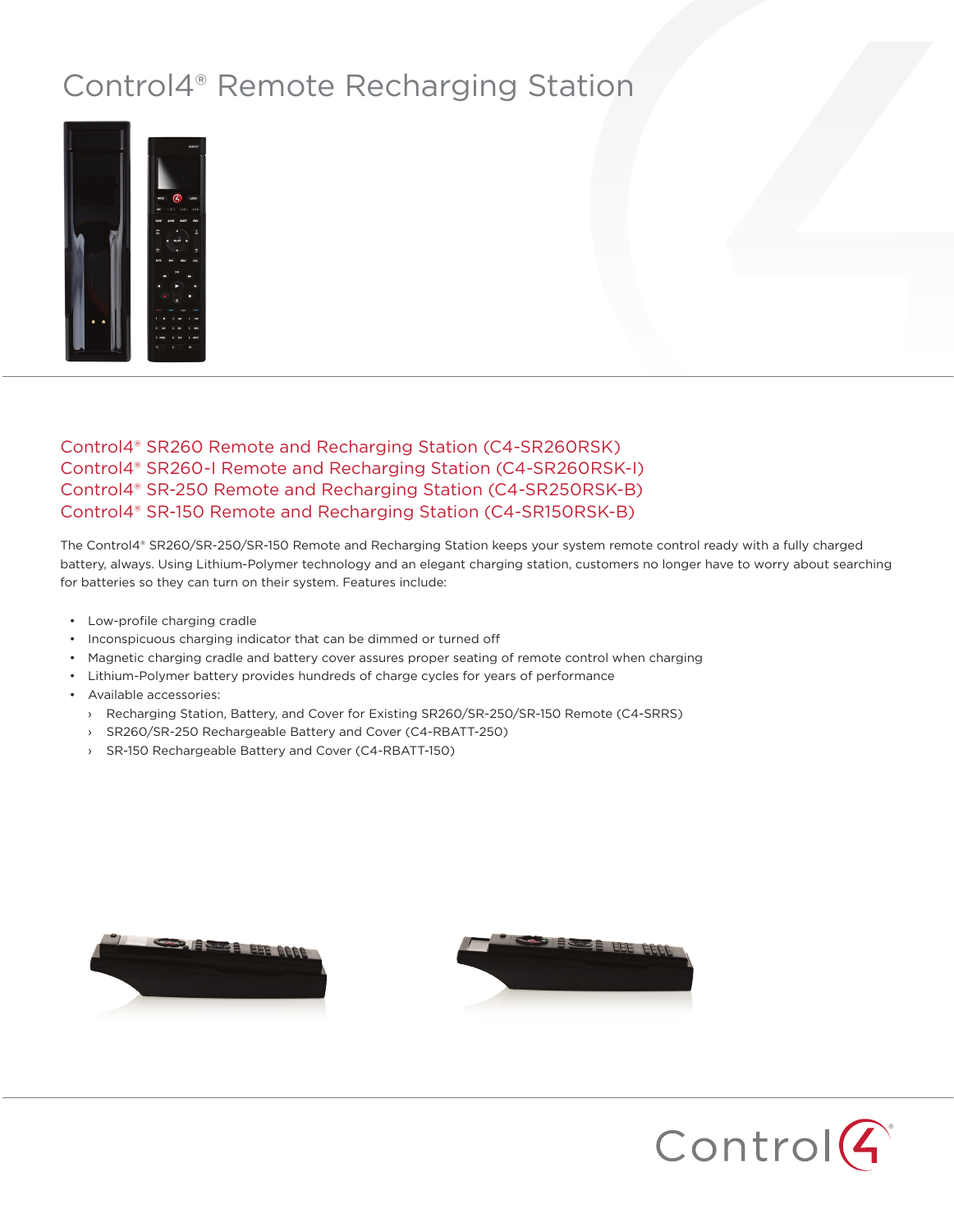## Control4® Remote Recharging Station



## Control4® SR260 Remote and Recharging Station (C4-SR260RSK) Control4® SR260-I Remote and Recharging Station (C4-SR260RSK-I) Control4® SR-250 Remote and Recharging Station (C4-SR250RSK-B) Control4® SR-150 Remote and Recharging Station (C4-SR150RSK-B)

The Control4® SR260/SR-250/SR-150 Remote and Recharging Station keeps your system remote control ready with a fully charged battery, always. Using Lithium-Polymer technology and an elegant charging station, customers no longer have to worry about searching for batteries so they can turn on their system. Features include:

- Low-profile charging cradle
- Inconspicuous charging indicator that can be dimmed or turned off
- Magnetic charging cradle and battery cover assures proper seating of remote control when charging
- Lithium-Polymer battery provides hundreds of charge cycles for years of performance
- Available accessories:
	- › Recharging Station, Battery, and Cover for Existing SR260/SR-250/SR-150 Remote (C4-SRRS)
	- › SR260/SR-250 Rechargeable Battery and Cover (C4-RBATT-250)
	- › SR-150 Rechargeable Battery and Cover (C4-RBATT-150)